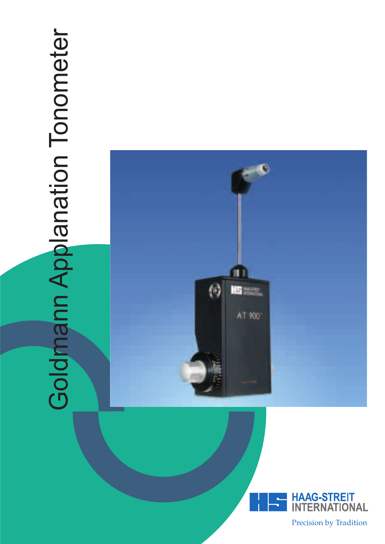# Goldmann Applanation Tonometer Goldmann Applanation Tonometer





Precision by Tradition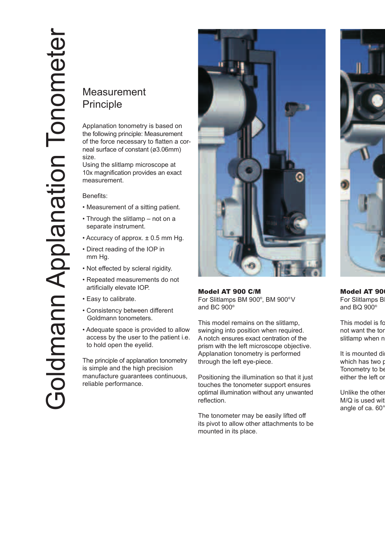# Measurement Principle

Applanation tonometry is based on the following principle: Measurement of the force necessary to flatten a corneal surface of constant (ø3.06mm) size.

Using the slitlamp microscope at 10x magnification provides an exact measurement.

Benefits:

- Measurement of a sitting patient.
- Through the slitlamp not on a separate instrument.
- Accuracy of approx. ± 0.5 mm Hg.
- Direct reading of the IOP in mm Hg.
- Not effected by scleral rigidity.
- Repeated measurements do not artificially elevate IOP.
- Easy to calibrate.
- Consistency between different Goldmann tonometers.
- Adequate space is provided to allow access by the user to the patient i.e. to hold open the eyelid.

The principle of applanation tonometry is simple and the high precision manufacture guarantees continuous, reliable performance.



Model AT 900 C/M For Slitlamps BM 900® , BM 900® V and BC 900®

This model remains on the slitlamp, swinging into position when required. A notch ensures exact centration of the prism with the left microscope objective. Applanation tonometry is performed through the left eye-piece.

Positioning the illumination so that it just touches the tonometer support ensures optimal illumination without any unwanted reflection.

The tonometer may be easily lifted off its pivot to allow other attachments to be mounted in its place.



**Model AT 90** For Slitlamps B and BQ 900®

This model is fo not want the ton slitlamp when n

It is mounted directle which has two p Tonometry to be either the left or

Unlike the other M/Q is used wit angle of ca. 60°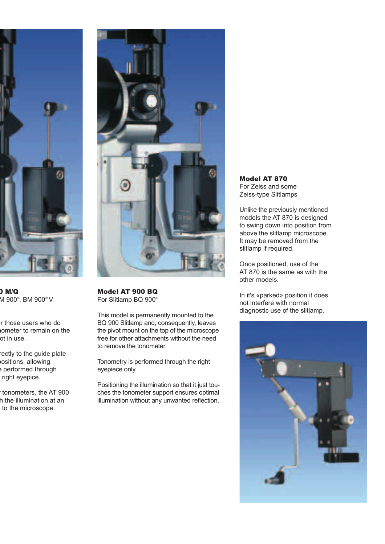

0 M/Q M 900® , BM 900® V

or those users who do nometer to remain on the ot in use.

rectly to the guide plate – positions, allowing e performed through right eyepice.

r tonometers, the AT 900 h the illumination at an to the microscope.



Model AT 900 BQ For Slitlamp BQ 900®

This model is permanently mounted to the BQ 900 Slitlamp and, consequently, leaves the pivot mount on the top of the microscope free for other attachments without the need to remove the tonometer.

Tonometry is performed through the right eyepiece only.

Positioning the illumination so that it just touches the tonometer support ensures optimal illumination without any unwanted reflection. Model AT 870 For Zeiss and some Zeiss-type Slitlamps

Unlike the previously mentioned models the AT 870 is designed to swing down into position from above the slitlamp microscope. It may be removed from the slitlamp if required.

Once positioned, use of the AT 870 is the same as with the other models.

In it's «parked» position it does not interfere with normal diagnostic use of the slitlamp.